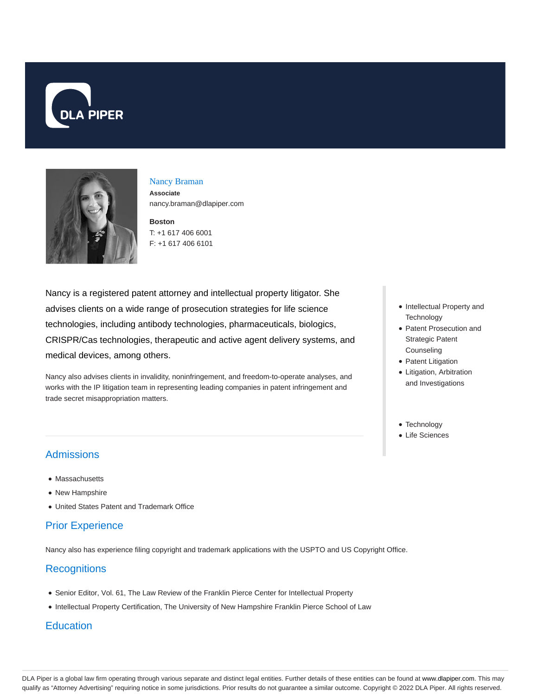



#### Nancy Braman **Associate**

nancy.braman@dlapiper.com

#### **Boston** T: +1 617 406 6001 F: +1 617 406 6101

Nancy is a registered patent attorney and intellectual property litigator. She advises clients on a wide range of prosecution strategies for life science technologies, including antibody technologies, pharmaceuticals, biologics, CRISPR/Cas technologies, therapeutic and active agent delivery systems, and medical devices, among others.

Nancy also advises clients in invalidity, noninfringement, and freedom-to-operate analyses, and works with the IP litigation team in representing leading companies in patent infringement and trade secret misappropriation matters.

- Intellectual Property and **Technology**
- Patent Prosecution and Strategic Patent Counseling
- Patent Litigation
- Litigation, Arbitration and Investigations
- Technology
- Life Sciences

# Admissions

- Massachusetts
- New Hampshire
- United States Patent and Trademark Office

## Prior Experience

Nancy also has experience filing copyright and trademark applications with the USPTO and US Copyright Office.

### **Recognitions**

- Senior Editor, Vol. 61, The Law Review of the Franklin Pierce Center for Intellectual Property
- Intellectual Property Certification, The University of New Hampshire Franklin Pierce School of Law

### **Education**

DLA Piper is a global law firm operating through various separate and distinct legal entities. Further details of these entities can be found at www.dlapiper.com. This may qualify as "Attorney Advertising" requiring notice in some jurisdictions. Prior results do not guarantee a similar outcome. Copyright @ 2022 DLA Piper. All rights reserved.